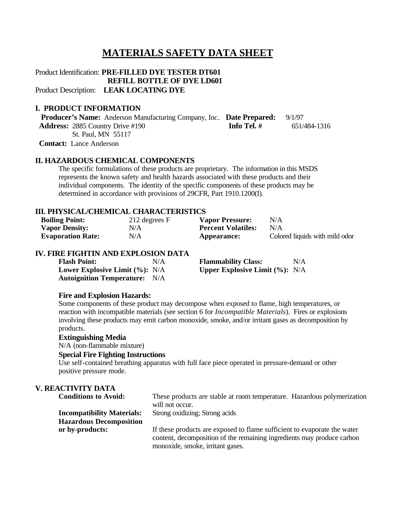# **MATERIALS SAFETY DATA SHEET**

Product Identification: **PRE-FILLED DYE TESTER DT601 REFILL BOTTLE OF DYE LD601** Product Description: **LEAK LOCATING DYE**

# **I. PRODUCT INFORMATION**

 **Producer's Name:** Anderson Manufacturing Company, Inc. **Date Prepared:** 9/1/97 **Address:** 2885 Country Drive #190 **Info Tel. #** 651/484-1316 St. Paul, MN 55117

**Contact:** Lance Anderson

#### **II. HAZARDOUS CHEMICAL COMPONENTS**

The specific formulations of these products are proprietary. The information in this MSDS represents the known safety and health hazards associated with these products and their individual components. The identity of the specific components of these products may be determined in accordance with provisions of 29CFR, Part 1910.1200(I).

# **III. PHYSICAL/CHEMICAL CHARACTERISTICS**

| <b>Boiling Point:</b>    | 212 degrees F | <b>Vapor Pressure:</b>    | N/A                            |
|--------------------------|---------------|---------------------------|--------------------------------|
| <b>Vapor Density:</b>    | N/A           | <b>Percent Volatiles:</b> | N/A                            |
| <b>Evaporation Rate:</b> | N/A           | Appearance:               | Colored liquids with mild odor |

#### **IV. FIRE FIGHTIN AND EXPLOSION DATA**

| <b>Flash Point:</b>                  | N/A | <b>Flammability Class:</b>                          | N/A |
|--------------------------------------|-----|-----------------------------------------------------|-----|
| Lower Explosive Limit $(\%): N/A$    |     | <b>Upper Explosive Limit <math>(\%): N/A</math></b> |     |
| <b>Autoignition Temperature:</b> N/A |     |                                                     |     |

#### **Fire and Explosion Hazards:**

Some components of these product may decompose when exposed to flame, high temperatures, or reaction with incompatible materials (see section 6 for *Incompatible Materials*). Fires or explosions involving these products may emit carbon monoxide, smoke, and/or irritant gases as decomposition by products.

## **Extinguishing Media**

N/A (non-flammable mixture)

## **Special Fire Fighting Instructions**

Use self-contained breathing apparatus with full face piece operated in pressure-demand or other positive pressure mode.

# **V. REACTIVITY DATA**

| <b>Conditions to Avoid:</b>       | These products are stable at room temperature. Hazardous polymerization<br>will not occur.                                                         |
|-----------------------------------|----------------------------------------------------------------------------------------------------------------------------------------------------|
| <b>Incompatibility Materials:</b> | Strong oxidizing; Strong acids                                                                                                                     |
| <b>Hazardous Decomposition</b>    |                                                                                                                                                    |
| or by-products:                   | If these products are exposed to flame sufficient to evaporate the water<br>content, decomposition of the remaining ingredients may produce carbon |
|                                   | monoxide, smoke, irritant gases.                                                                                                                   |